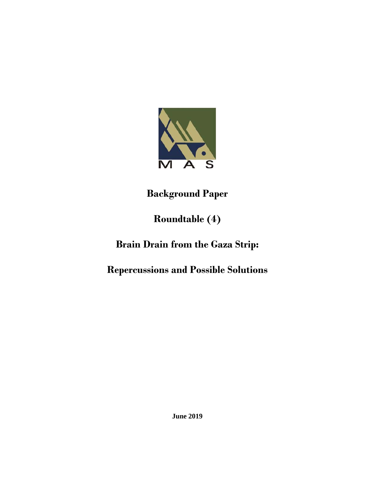

**Background Paper**

## **Roundtable (4)**

## **Brain Drain from the Gaza Strip:**

## **Repercussions and Possible Solutions**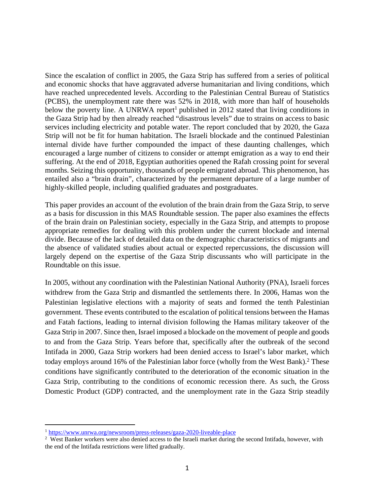Since the escalation of conflict in 2005, the Gaza Strip has suffered from a series of political and economic shocks that have aggravated adverse humanitarian and living conditions, which have reached unprecedented levels. According to the Palestinian Central Bureau of Statistics (PCBS), the unemployment rate there was 52% in 2018, with more than half of households below the poverty line. A UNRWA report<sup>1</sup> published in 2012 stated that living conditions in the Gaza Strip had by then already reached "disastrous levels" due to strains on access to basic services including electricity and potable water. The report concluded that by 2020, the Gaza Strip will not be fit for human habitation. The Israeli blockade and the continued Palestinian internal divide have further compounded the impact of these daunting challenges, which encouraged a large number of citizens to consider or attempt emigration as a way to end their suffering. At the end of 2018, Egyptian authorities opened the Rafah crossing point for several months. Seizing this opportunity, thousands of people emigrated abroad. This phenomenon, has entailed also a "brain drain", characterized by the permanent departure of a large number of highly-skilled people, including qualified graduates and postgraduates.

This paper provides an account of the evolution of the brain drain from the Gaza Strip, to serve as a basis for discussion in this MAS Roundtable session. The paper also examines the effects of the brain drain on Palestinian society, especially in the Gaza Strip, and attempts to propose appropriate remedies for dealing with this problem under the current blockade and internal divide. Because of the lack of detailed data on the demographic characteristics of migrants and the absence of validated studies about actual or expected repercussions, the discussion will largely depend on the expertise of the Gaza Strip discussants who will participate in the Roundtable on this issue.

In 2005, without any coordination with the Palestinian National Authority (PNA), Israeli forces withdrew from the Gaza Strip and dismantled the settlements there. In 2006, Hamas won the Palestinian legislative elections with a majority of seats and formed the tenth Palestinian government. These events contributed to the escalation of political tensions between the Hamas and Fatah factions, leading to internal division following the Hamas military takeover of the Gaza Strip in 2007. Since then, Israel imposed a blockade on the movement of people and goods to and from the Gaza Strip. Years before that, specifically after the outbreak of the second Intifada in 2000, Gaza Strip workers had been denied access to Israel's labor market, which today employs around 16% of the Palestinian labor force (wholly from the West Bank).<sup>2</sup> These conditions have significantly contributed to the deterioration of the economic situation in the Gaza Strip, contributing to the conditions of economic recession there. As such, the Gross Domestic Product (GDP) contracted, and the unemployment rate in the Gaza Strip steadily

<sup>1</sup> https://www.unrwa.org/newsroom/press-releases/gaza-2020-liveable-place

<sup>&</sup>lt;sup>2</sup> West Banker workers were also denied access to the Israeli market during the second Intifada, however, with the end of the Intifada restrictions were lifted gradually.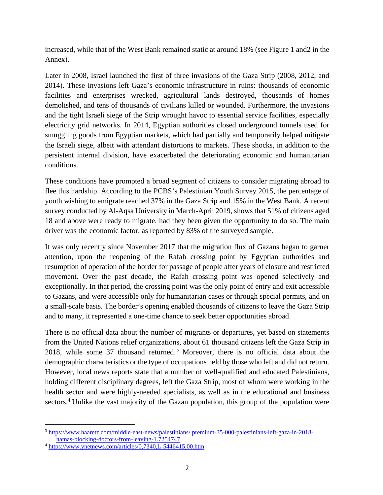increased, while that of the West Bank remained static at around 18% (see Figure 1 and2 in the Annex).

Later in 2008, Israel launched the first of three invasions of the Gaza Strip (2008, 2012, and 2014). These invasions left Gaza's economic infrastructure in ruins: thousands of economic facilities and enterprises wrecked, agricultural lands destroyed, thousands of homes demolished, and tens of thousands of civilians killed or wounded. Furthermore, the invasions and the tight Israeli siege of the Strip wrought havoc to essential service facilities, especially electricity grid networks. In 2014, Egyptian authorities closed underground tunnels used for smuggling goods from Egyptian markets, which had partially and temporarily helped mitigate the Israeli siege, albeit with attendant distortions to markets. These shocks, in addition to the persistent internal division, have exacerbated the deteriorating economic and humanitarian conditions.

These conditions have prompted a broad segment of citizens to consider migrating abroad to flee this hardship. According to the PCBS's Palestinian Youth Survey 2015, the percentage of youth wishing to emigrate reached 37% in the Gaza Strip and 15% in the West Bank. A recent survey conducted by Al-Aqsa University in March-April 2019, shows that 51% of citizens aged 18 and above were ready to migrate, had they been given the opportunity to do so. The main driver was the economic factor, as reported by 83% of the surveyed sample.

It was only recently since November 2017 that the migration flux of Gazans began to garner attention, upon the reopening of the Rafah crossing point by Egyptian authorities and resumption of operation of the border for passage of people after years of closure and restricted movement. Over the past decade, the Rafah crossing point was opened selectively and exceptionally. In that period, the crossing point was the only point of entry and exit accessible to Gazans, and were accessible only for humanitarian cases or through special permits, and on a small-scale basis. The border's opening enabled thousands of citizens to leave the Gaza Strip and to many, it represented a one-time chance to seek better opportunities abroad.

There is no official data about the number of migrants or departures, yet based on statements from the United Nations relief organizations, about 61 thousand citizens left the Gaza Strip in 2018, while some 37 thousand returned. 3 Moreover, there is no official data about the demographic characteristics or the type of occupations held by those who left and did not return. However, local news reports state that a number of well-qualified and educated Palestinians, holding different disciplinary degrees, left the Gaza Strip, most of whom were working in the health sector and were highly-needed specialists, as well as in the educational and business sectors.<sup>4</sup> Unlike the vast majority of the Gazan population, this group of the population were

 <sup>3</sup> https://www.haaretz.com/middle-east-news/palestinians/.premium-35-000-palestinians-left-gaza-in-2018 hamas-blocking-doctors-from-leaving-1.7254747

<sup>4</sup> https://www.ynetnews.com/articles/0,7340,L-5446415,00.htm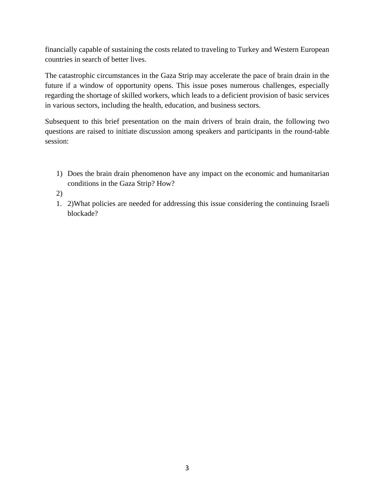financially capable of sustaining the costs related to traveling to Turkey and Western European countries in search of better lives.

The catastrophic circumstances in the Gaza Strip may accelerate the pace of brain drain in the future if a window of opportunity opens. This issue poses numerous challenges, especially regarding the shortage of skilled workers, which leads to a deficient provision of basic services in various sectors, including the health, education, and business sectors.

Subsequent to this brief presentation on the main drivers of brain drain, the following two questions are raised to initiate discussion among speakers and participants in the round-table session:

- 1) Does the brain drain phenomenon have any impact on the economic and humanitarian conditions in the Gaza Strip? How?
- 2)
- 1. 2)What policies are needed for addressing this issue considering the continuing Israeli blockade?